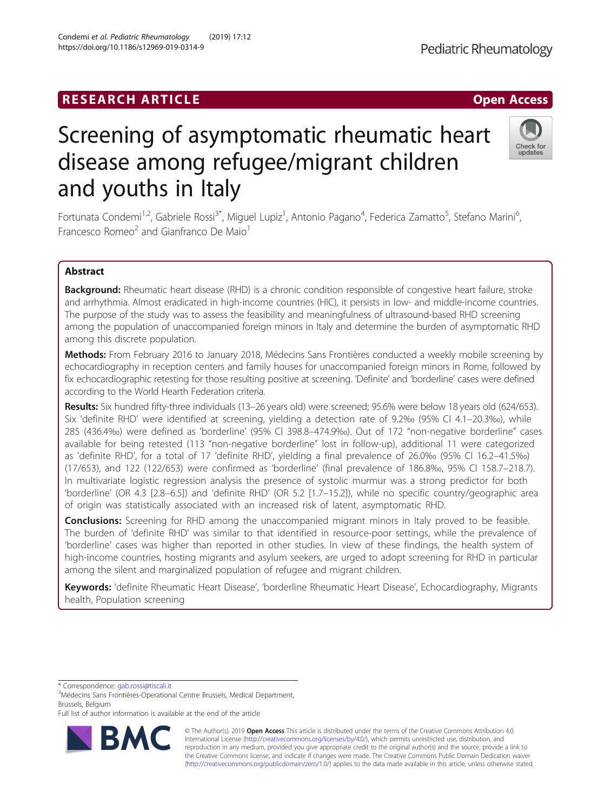## **RESEARCH ARTICLE Example 2018 12:30 THE Open Access**

# Screening of asymptomatic rheumatic heart disease among refugee/migrant children and youths in Italy

Fortunata Condemi<sup>1,2</sup>, Gabriele Rossi<sup>3\*</sup>, Miguel Lupiz<sup>1</sup>, Antonio Pagano<sup>4</sup>, Federica Zamatto<sup>5</sup>, Stefano Marini<sup>6</sup> , Francesco Romeo<sup>2</sup> and Gianfranco De Maio<sup>1</sup>

## Abstract

Background: Rheumatic heart disease (RHD) is a chronic condition responsible of congestive heart failure, stroke and arrhythmia. Almost eradicated in high-income countries (HIC), it persists in low- and middle-income countries. The purpose of the study was to assess the feasibility and meaningfulness of ultrasound-based RHD screening among the population of unaccompanied foreign minors in Italy and determine the burden of asymptomatic RHD among this discrete population.

Methods: From February 2016 to January 2018, Médecins Sans Frontières conducted a weekly mobile screening by echocardiography in reception centers and family houses for unaccompanied foreign minors in Rome, followed by fix echocardiographic retesting for those resulting positive at screening. 'Definite' and 'borderline' cases were defined according to the World Hearth Federation criteria.

Results: Six hundred fifty-three individuals (13-26 years old) were screened; 95.6% were below 18 years old (624/653). Six 'definite RHD' were identified at screening, yielding a detection rate of 9.2‰ (95% CI 4.1–20.3‰), while 285 (436.4‰) were defined as 'borderline' (95% CI 398.8–474.9‰). Out of 172 "non-negative borderline" cases available for being retested (113 "non-negative borderline" lost in follow-up), additional 11 were categorized as 'definite RHD', for a total of 17 'definite RHD', yielding a final prevalence of 26.0‰ (95% CI 16.2–41.5‰) (17/653), and 122 (122/653) were confirmed as 'borderline' (final prevalence of 186.8‰, 95% CI 158.7–218.7). In multivariate logistic regression analysis the presence of systolic murmur was a strong predictor for both 'borderline' (OR 4.3 [2.8–6.5]) and 'definite RHD' (OR 5.2 [1.7–15.2]), while no specific country/geographic area of origin was statistically associated with an increased risk of latent, asymptomatic RHD.

**Conclusions:** Screening for RHD among the unaccompanied migrant minors in Italy proved to be feasible. The burden of 'definite RHD' was similar to that identified in resource-poor settings, while the prevalence of 'borderline' cases was higher than reported in other studies. In view of these findings, the health system of high-income countries, hosting migrants and asylum seekers, are urged to adopt screening for RHD in particular among the silent and marginalized population of refugee and migrant children.

Keywords: 'definite Rheumatic Heart Disease', 'borderline Rheumatic Heart Disease', Echocardiography, Migrants health, Population screening

\* Correspondence: [gab.rossi@tiscali.it](mailto:gab.rossi@tiscali.it) <sup>3</sup>

<sup>3</sup>Médecins Sans Frontières-Operational Centre Brussels, Medical Department, Brussels, Belgium

Full list of author information is available at the end of the article

© The Author(s). 2019 **Open Access** This article is distributed under the terms of the Creative Commons Attribution 4.0 International License [\(http://creativecommons.org/licenses/by/4.0/](http://creativecommons.org/licenses/by/4.0/)), which permits unrestricted use, distribution, and reproduction in any medium, provided you give appropriate credit to the original author(s) and the source, provide a link to the Creative Commons license, and indicate if changes were made. The Creative Commons Public Domain Dedication waiver [\(http://creativecommons.org/publicdomain/zero/1.0/](http://creativecommons.org/publicdomain/zero/1.0/)) applies to the data made available in this article, unless otherwise stated.





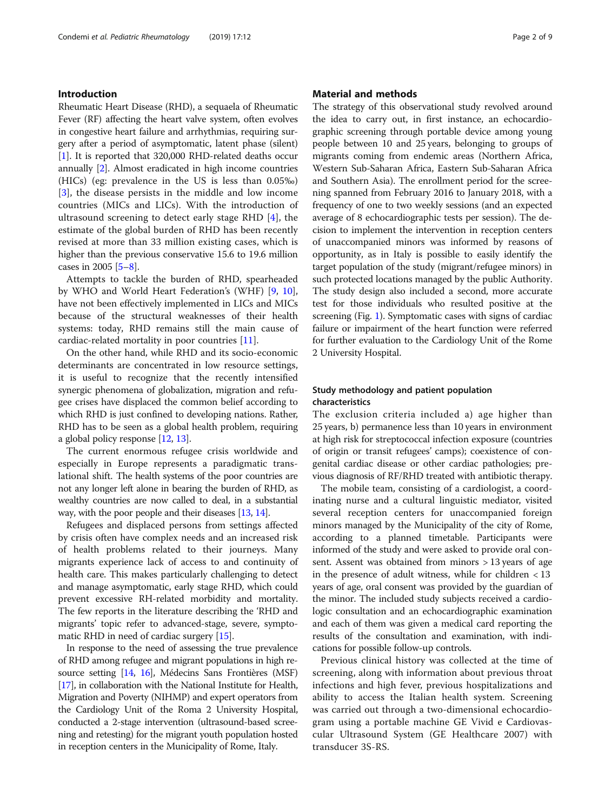## Introduction

Rheumatic Heart Disease (RHD), a sequaela of Rheumatic Fever (RF) affecting the heart valve system, often evolves in congestive heart failure and arrhythmias, requiring surgery after a period of asymptomatic, latent phase (silent) [[1\]](#page-7-0). It is reported that 320,000 RHD-related deaths occur annually [\[2\]](#page-7-0). Almost eradicated in high income countries (HICs) (eg: prevalence in the US is less than 0.05‰) [[3\]](#page-7-0), the disease persists in the middle and low income countries (MICs and LICs). With the introduction of ultrasound screening to detect early stage RHD [[4\]](#page-7-0), the estimate of the global burden of RHD has been recently revised at more than 33 million existing cases, which is higher than the previous conservative 15.6 to 19.6 million cases in 2005 [\[5](#page-7-0)–[8\]](#page-7-0).

Attempts to tackle the burden of RHD, spearheaded by WHO and World Heart Federation's (WHF) [\[9](#page-7-0), [10](#page-7-0)], have not been effectively implemented in LICs and MICs because of the structural weaknesses of their health systems: today, RHD remains still the main cause of cardiac-related mortality in poor countries [\[11\]](#page-7-0).

On the other hand, while RHD and its socio-economic determinants are concentrated in low resource settings, it is useful to recognize that the recently intensified synergic phenomena of globalization, migration and refugee crises have displaced the common belief according to which RHD is just confined to developing nations. Rather, RHD has to be seen as a global health problem, requiring a global policy response [\[12,](#page-7-0) [13](#page-7-0)].

The current enormous refugee crisis worldwide and especially in Europe represents a paradigmatic translational shift. The health systems of the poor countries are not any longer left alone in bearing the burden of RHD, as wealthy countries are now called to deal, in a substantial way, with the poor people and their diseases [\[13](#page-7-0), [14](#page-8-0)].

Refugees and displaced persons from settings affected by crisis often have complex needs and an increased risk of health problems related to their journeys. Many migrants experience lack of access to and continuity of health care. This makes particularly challenging to detect and manage asymptomatic, early stage RHD, which could prevent excessive RH-related morbidity and mortality. The few reports in the literature describing the 'RHD and migrants' topic refer to advanced-stage, severe, symptomatic RHD in need of cardiac surgery [\[15](#page-8-0)].

In response to the need of assessing the true prevalence of RHD among refugee and migrant populations in high resource setting [[14](#page-8-0), [16](#page-8-0)], Médecins Sans Frontières (MSF) [[17](#page-8-0)], in collaboration with the National Institute for Health, Migration and Poverty (NIHMP) and expert operators from the Cardiology Unit of the Roma 2 University Hospital, conducted a 2-stage intervention (ultrasound-based screening and retesting) for the migrant youth population hosted in reception centers in the Municipality of Rome, Italy.

## Material and methods

The strategy of this observational study revolved around the idea to carry out, in first instance, an echocardiographic screening through portable device among young people between 10 and 25 years, belonging to groups of migrants coming from endemic areas (Northern Africa, Western Sub-Saharan Africa, Eastern Sub-Saharan Africa and Southern Asia). The enrollment period for the screening spanned from February 2016 to January 2018, with a frequency of one to two weekly sessions (and an expected average of 8 echocardiographic tests per session). The decision to implement the intervention in reception centers of unaccompanied minors was informed by reasons of opportunity, as in Italy is possible to easily identify the target population of the study (migrant/refugee minors) in such protected locations managed by the public Authority. The study design also included a second, more accurate test for those individuals who resulted positive at the screening (Fig. [1](#page-2-0)). Symptomatic cases with signs of cardiac failure or impairment of the heart function were referred for further evaluation to the Cardiology Unit of the Rome 2 University Hospital.

## Study methodology and patient population characteristics

The exclusion criteria included a) age higher than 25 years, b) permanence less than 10 years in environment at high risk for streptococcal infection exposure (countries of origin or transit refugees' camps); coexistence of congenital cardiac disease or other cardiac pathologies; previous diagnosis of RF/RHD treated with antibiotic therapy.

The mobile team, consisting of a cardiologist, a coordinating nurse and a cultural linguistic mediator, visited several reception centers for unaccompanied foreign minors managed by the Municipality of the city of Rome, according to a planned timetable. Participants were informed of the study and were asked to provide oral consent. Assent was obtained from minors > 13 years of age in the presence of adult witness, while for children < 13 years of age, oral consent was provided by the guardian of the minor. The included study subjects received a cardiologic consultation and an echocardiographic examination and each of them was given a medical card reporting the results of the consultation and examination, with indications for possible follow-up controls.

Previous clinical history was collected at the time of screening, along with information about previous throat infections and high fever, previous hospitalizations and ability to access the Italian health system. Screening was carried out through a two-dimensional echocardiogram using a portable machine GE Vivid e Cardiovascular Ultrasound System (GE Healthcare 2007) with transducer 3S-RS.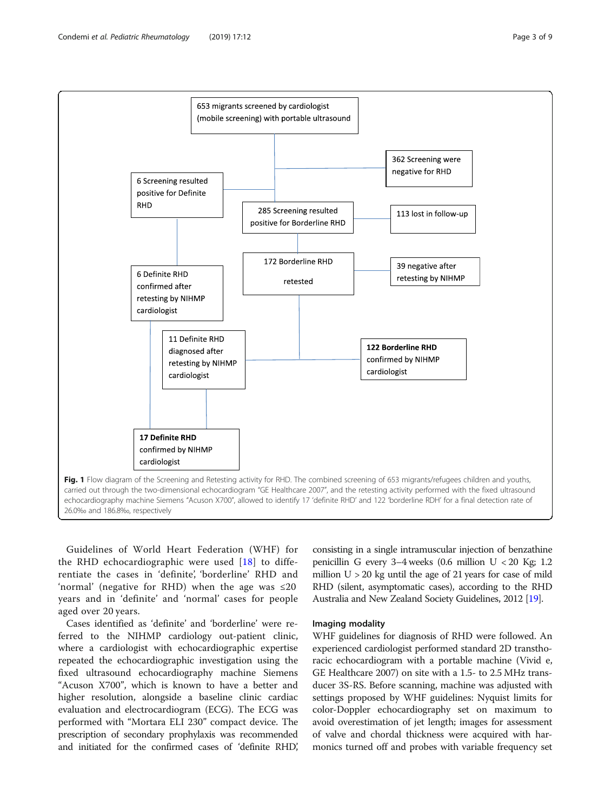<span id="page-2-0"></span>

Guidelines of World Heart Federation (WHF) for the RHD echocardiographic were used [\[18\]](#page-8-0) to differentiate the cases in 'definite', 'borderline' RHD and 'normal' (negative for RHD) when the age was  $\leq 20$ years and in 'definite' and 'normal' cases for people aged over 20 years.

Cases identified as 'definite' and 'borderline' were referred to the NIHMP cardiology out-patient clinic, where a cardiologist with echocardiographic expertise repeated the echocardiographic investigation using the fixed ultrasound echocardiography machine Siemens "Acuson X700", which is known to have a better and higher resolution, alongside a baseline clinic cardiac evaluation and electrocardiogram (ECG). The ECG was performed with "Mortara ELI 230" compact device. The prescription of secondary prophylaxis was recommended and initiated for the confirmed cases of 'definite RHD,'

consisting in a single intramuscular injection of benzathine penicillin G every 3–4 weeks  $(0.6 \text{ million U} < 20 \text{ Kg}; 1.2)$ million  $U > 20$  kg until the age of 21 years for case of mild RHD (silent, asymptomatic cases), according to the RHD Australia and New Zealand Society Guidelines, 2012 [\[19\]](#page-8-0).

## Imaging modality

WHF guidelines for diagnosis of RHD were followed. An experienced cardiologist performed standard 2D transthoracic echocardiogram with a portable machine (Vivid e, GE Healthcare 2007) on site with a 1.5- to 2.5 MHz transducer 3S-RS. Before scanning, machine was adjusted with settings proposed by WHF guidelines: Nyquist limits for color-Doppler echocardiography set on maximum to avoid overestimation of jet length; images for assessment of valve and chordal thickness were acquired with harmonics turned off and probes with variable frequency set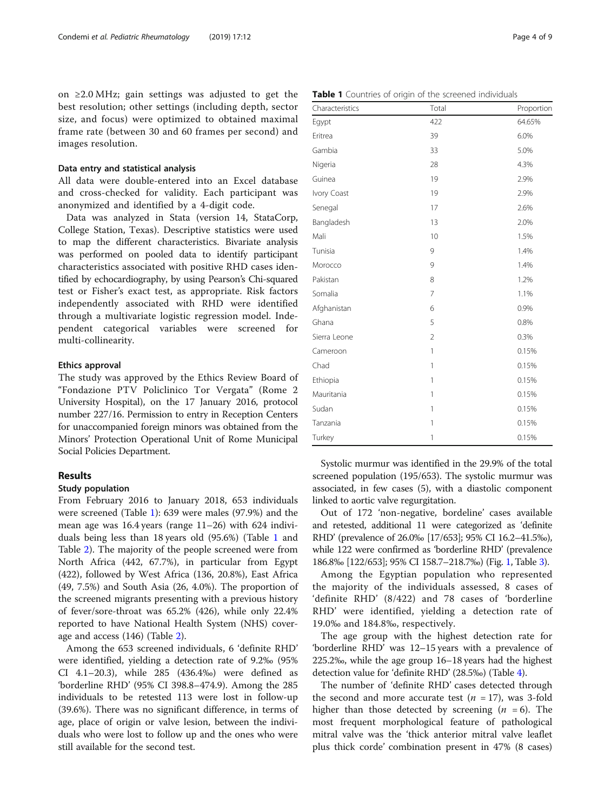on ≥2.0 MHz; gain settings was adjusted to get the best resolution; other settings (including depth, sector size, and focus) were optimized to obtained maximal frame rate (between 30 and 60 frames per second) and images resolution.

## Data entry and statistical analysis

All data were double-entered into an Excel database and cross-checked for validity. Each participant was anonymized and identified by a 4-digit code.

Data was analyzed in Stata (version 14, StataCorp, College Station, Texas). Descriptive statistics were used to map the different characteristics. Bivariate analysis was performed on pooled data to identify participant characteristics associated with positive RHD cases identified by echocardiography, by using Pearson's Chi-squared test or Fisher's exact test, as appropriate. Risk factors independently associated with RHD were identified through a multivariate logistic regression model. Independent categorical variables were screened for multi-collinearity.

## Ethics approval

The study was approved by the Ethics Review Board of "Fondazione PTV Policlinico Tor Vergata" (Rome 2 University Hospital), on the 17 January 2016, protocol number 227/16. Permission to entry in Reception Centers for unaccompanied foreign minors was obtained from the Minors' Protection Operational Unit of Rome Municipal Social Policies Department.

## Results

#### Study population

From February 2016 to January 2018, 653 individuals were screened (Table 1): 639 were males (97.9%) and the mean age was 16.4 years (range 11–26) with 624 individuals being less than 18 years old (95.6%) (Table 1 and Table [2\)](#page-4-0). The majority of the people screened were from North Africa (442, 67.7%), in particular from Egypt (422), followed by West Africa (136, 20.8%), East Africa (49, 7.5%) and South Asia (26, 4.0%). The proportion of the screened migrants presenting with a previous history of fever/sore-throat was 65.2% (426), while only 22.4% reported to have National Health System (NHS) coverage and access (146) (Table [2](#page-4-0)).

Among the 653 screened individuals, 6 'definite RHD' were identified, yielding a detection rate of 9.2‰ (95% CI 4.1–20.3), while 285 (436.4‰) were defined as 'borderline RHD' (95% CI 398.8–474.9). Among the 285 individuals to be retested 113 were lost in follow-up (39.6%). There was no significant difference, in terms of age, place of origin or valve lesion, between the individuals who were lost to follow up and the ones who were still available for the second test.

| Characteristics | Total          | Proportion |
|-----------------|----------------|------------|
| Egypt           | 422            | 64.65%     |
| Eritrea         | 39             | 6.0%       |
| Gambia          | 33             | 5.0%       |
| Nigeria         | 28             | 4.3%       |
| Guinea          | 19             | 2.9%       |
| Ivory Coast     | 19             | 2.9%       |
| Senegal         | 17             | 2.6%       |
| Bangladesh      | 13             | 2.0%       |
| Mali            | 10             | 1.5%       |
| Tunisia         | 9              | 1.4%       |
| Morocco         | 9              | 1.4%       |
| Pakistan        | 8              | 1.2%       |
| Somalia         | 7              | 1.1%       |
| Afghanistan     | 6              | 0.9%       |
| Ghana           | 5              | 0.8%       |
| Sierra Leone    | $\overline{2}$ | 0.3%       |
| Cameroon        | 1              | 0.15%      |
| Chad            | 1              | 0.15%      |
| Ethiopia        | 1              | 0.15%      |
| Mauritania      | 1              | 0.15%      |
| Sudan           | 1              | 0.15%      |
| Tanzania        | 1              | 0.15%      |
| Turkey          | 1              | 0.15%      |

Systolic murmur was identified in the 29.9% of the total screened population (195/653). The systolic murmur was associated, in few cases (5), with a diastolic component linked to aortic valve regurgitation.

Out of 172 'non-negative, bordeline' cases available and retested, additional 11 were categorized as 'definite RHD' (prevalence of 26.0‰ [17/653]; 95% CI 16.2–41.5‰), while 122 were confirmed as 'borderline RHD' (prevalence 186.8‰ [122/653]; 95% CI 158.7–218.7‰) (Fig. [1,](#page-2-0) Table [3\)](#page-5-0).

Among the Egyptian population who represented the majority of the individuals assessed, 8 cases of 'definite RHD' (8/422) and 78 cases of 'borderline RHD' were identified, yielding a detection rate of 19.0‰ and 184.8‰, respectively.

The age group with the highest detection rate for 'borderline RHD' was 12–15 years with a prevalence of 225.2‰, while the age group 16–18 years had the highest detection value for 'definite RHD' (28.5‰) (Table [4\)](#page-6-0).

The number of 'definite RHD' cases detected through the second and more accurate test ( $n = 17$ ), was 3-fold higher than those detected by screening  $(n = 6)$ . The most frequent morphological feature of pathological mitral valve was the 'thick anterior mitral valve leaflet plus thick corde' combination present in 47% (8 cases)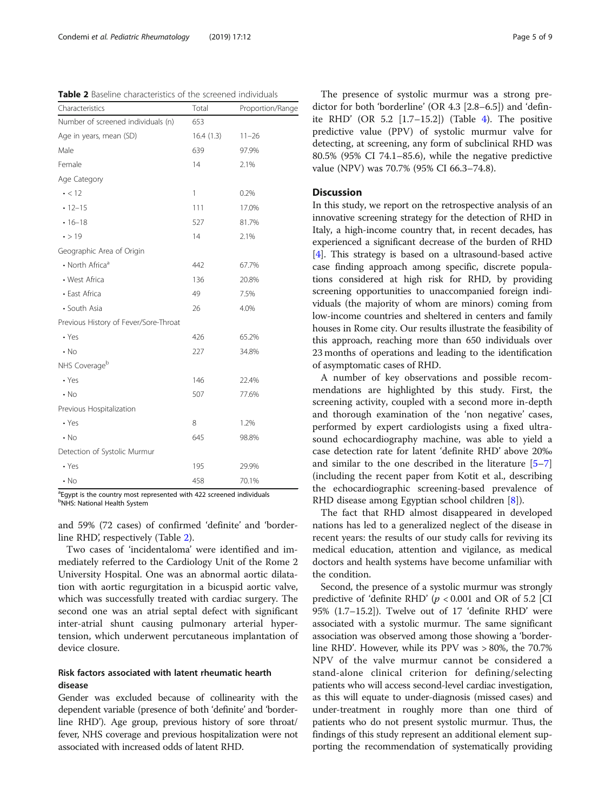<span id="page-4-0"></span>Table 2 Baseline characteristics of the screened individuals

| Characteristics                       | Total     | Proportion/Range |  |
|---------------------------------------|-----------|------------------|--|
| Number of screened individuals (n)    | 653       |                  |  |
| Age in years, mean (SD)               | 16.4(1.3) | $11 - 26$        |  |
| Male                                  | 639       | 97.9%            |  |
| Female                                | 14        | 2.1%             |  |
| Age Category                          |           |                  |  |
| $\cdot$ < 12                          | 1         | 0.2%             |  |
| $-12-15$                              | 111       | 17.0%            |  |
| $• 16 - 18$                           | 527       | 81.7%            |  |
| $\cdot$ > 19                          | 14        | 2.1%             |  |
| Geographic Area of Origin             |           |                  |  |
| • North Africa <sup>a</sup>           | 442       | 67.7%            |  |
| • West Africa                         | 136       | 20.8%            |  |
| • East Africa                         | 49        | 7.5%             |  |
| • South Asia                          | 26        | 4.0%             |  |
| Previous History of Fever/Sore-Throat |           |                  |  |
| • Yes                                 | 426       | 65.2%            |  |
| $\cdot$ No                            | 227       | 34.8%            |  |
| NHS Coverage <sup>b</sup>             |           |                  |  |
| $\cdot$ Yes                           | 146       | 22.4%            |  |
| $\cdot$ No                            | 507       | 77.6%            |  |
| Previous Hospitalization              |           |                  |  |
| $\cdot$ Yes                           | 8         | 1.2%             |  |
| $\cdot$ No                            | 645       | 98.8%            |  |
| Detection of Systolic Murmur          |           |                  |  |
| $\cdot$ Yes                           | 195       | 29.9%            |  |
| $\cdot$ No                            | 458       | 70.1%            |  |

<sup>a</sup>Egypt is the country most represented with 422 screened individuals b NHS: National Health System

and 59% (72 cases) of confirmed 'definite' and 'borderline RHD', respectively (Table 2).

Two cases of 'incidentaloma' were identified and immediately referred to the Cardiology Unit of the Rome 2 University Hospital. One was an abnormal aortic dilatation with aortic regurgitation in a bicuspid aortic valve, which was successfully treated with cardiac surgery. The second one was an atrial septal defect with significant inter-atrial shunt causing pulmonary arterial hypertension, which underwent percutaneous implantation of device closure.

## Risk factors associated with latent rheumatic hearth disease

Gender was excluded because of collinearity with the dependent variable (presence of both 'definite' and 'borderline RHD'). Age group, previous history of sore throat/ fever, NHS coverage and previous hospitalization were not associated with increased odds of latent RHD.

The presence of systolic murmur was a strong predictor for both 'borderline' (OR 4.3 [2.8–6.5]) and 'definite RHD' (OR 5.2  $[1.7-15.2]$ ) (Table [4\)](#page-6-0). The positive predictive value (PPV) of systolic murmur valve for detecting, at screening, any form of subclinical RHD was 80.5% (95% CI 74.1–85.6), while the negative predictive value (NPV) was 70.7% (95% CI 66.3–74.8).

## **Discussion**

In this study, we report on the retrospective analysis of an innovative screening strategy for the detection of RHD in Italy, a high-income country that, in recent decades, has experienced a significant decrease of the burden of RHD [[4\]](#page-7-0). This strategy is based on a ultrasound-based active case finding approach among specific, discrete populations considered at high risk for RHD, by providing screening opportunities to unaccompanied foreign individuals (the majority of whom are minors) coming from low-income countries and sheltered in centers and family houses in Rome city. Our results illustrate the feasibility of this approach, reaching more than 650 individuals over 23 months of operations and leading to the identification of asymptomatic cases of RHD.

A number of key observations and possible recommendations are highlighted by this study. First, the screening activity, coupled with a second more in-depth and thorough examination of the 'non negative' cases, performed by expert cardiologists using a fixed ultrasound echocardiography machine, was able to yield a case detection rate for latent 'definite RHD' above 20‰ and similar to the one described in the literature [[5](#page-7-0)–[7](#page-7-0)] (including the recent paper from Kotit et al., describing the echocardiographic screening-based prevalence of RHD disease among Egyptian school children [[8\]](#page-7-0)).

The fact that RHD almost disappeared in developed nations has led to a generalized neglect of the disease in recent years: the results of our study calls for reviving its medical education, attention and vigilance, as medical doctors and health systems have become unfamiliar with the condition.

Second, the presence of a systolic murmur was strongly predictive of 'definite RHD'  $(p < 0.001$  and OR of 5.2 [CI 95% (1.7–15.2]). Twelve out of 17 'definite RHD' were associated with a systolic murmur. The same significant association was observed among those showing a 'borderline RHD'. However, while its PPV was > 80%, the 70.7% NPV of the valve murmur cannot be considered a stand-alone clinical criterion for defining/selecting patients who will access second-level cardiac investigation, as this will equate to under-diagnosis (missed cases) and under-treatment in roughly more than one third of patients who do not present systolic murmur. Thus, the findings of this study represent an additional element supporting the recommendation of systematically providing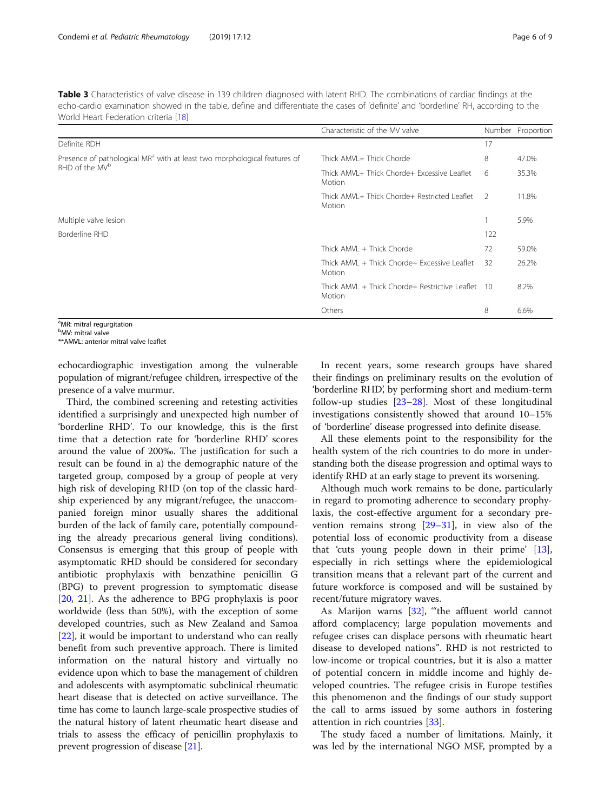<span id="page-5-0"></span>Table 3 Characteristics of valve disease in 139 children diagnosed with latent RHD. The combinations of cardiac findings at the echo-cardio examination showed in the table, define and differentiate the cases of 'definite' and 'borderline' RH, according to the World Heart Federation criteria [[18\]](#page-8-0)

|                                                                                                                                             | Characteristic of the MV valve                              |     | Number Proportion |
|---------------------------------------------------------------------------------------------------------------------------------------------|-------------------------------------------------------------|-----|-------------------|
| Definite RDH                                                                                                                                |                                                             | 17  |                   |
| Presence of pathological MR <sup>a</sup> with at least two morphological features of<br>RHD of the MV <sup>b</sup><br>Multiple valve lesion | Thick AMVI + Thick Chorde                                   | 8   | 47.0%             |
|                                                                                                                                             | Thick AMVL + Thick Chorde+ Excessive Leaflet<br>Motion      | 6   | 35.3%             |
|                                                                                                                                             | Thick AMVI + Thick Chorde+ Restricted Leaflet<br>Motion     |     | 11.8%             |
|                                                                                                                                             |                                                             |     | 5.9%              |
| Borderline RHD                                                                                                                              |                                                             | 122 |                   |
|                                                                                                                                             | Thick AMVL + Thick Chorde                                   | 72  | 59.0%             |
|                                                                                                                                             | Thick AMVL + Thick Chorde+ Excessive Leaflet<br>Motion      | 32  | 26.2%             |
|                                                                                                                                             | Thick AMVL + Thick Chorde+ Restrictive Leaflet 10<br>Motion |     | 8.2%              |
|                                                                                                                                             | Others                                                      | 8   | 6.6%              |

<sup>a</sup>MR: mitral regurgitation

<sup>b</sup>MV: mitral valve

\*\*AMVL: anterior mitral valve leaflet

echocardiographic investigation among the vulnerable population of migrant/refugee children, irrespective of the presence of a valve murmur.

Third, the combined screening and retesting activities identified a surprisingly and unexpected high number of 'borderline RHD'. To our knowledge, this is the first time that a detection rate for 'borderline RHD' scores around the value of 200‰. The justification for such a result can be found in a) the demographic nature of the targeted group, composed by a group of people at very high risk of developing RHD (on top of the classic hardship experienced by any migrant/refugee, the unaccompanied foreign minor usually shares the additional burden of the lack of family care, potentially compounding the already precarious general living conditions). Consensus is emerging that this group of people with asymptomatic RHD should be considered for secondary antibiotic prophylaxis with benzathine penicillin G (BPG) to prevent progression to symptomatic disease [[20,](#page-8-0) [21\]](#page-8-0). As the adherence to BPG prophylaxis is poor worldwide (less than 50%), with the exception of some developed countries, such as New Zealand and Samoa [[22\]](#page-8-0), it would be important to understand who can really benefit from such preventive approach. There is limited information on the natural history and virtually no evidence upon which to base the management of children and adolescents with asymptomatic subclinical rheumatic heart disease that is detected on active surveillance. The time has come to launch large-scale prospective studies of the natural history of latent rheumatic heart disease and trials to assess the efficacy of penicillin prophylaxis to prevent progression of disease [[21](#page-8-0)].

In recent years, some research groups have shared their findings on preliminary results on the evolution of 'borderline RHD', by performing short and medium-term follow-up studies  $[23-28]$  $[23-28]$  $[23-28]$ . Most of these longitudinal investigations consistently showed that around 10–15% of 'borderline' disease progressed into definite disease.

All these elements point to the responsibility for the health system of the rich countries to do more in understanding both the disease progression and optimal ways to identify RHD at an early stage to prevent its worsening.

Although much work remains to be done, particularly in regard to promoting adherence to secondary prophylaxis, the cost-effective argument for a secondary prevention remains strong [[29](#page-8-0)–[31](#page-8-0)], in view also of the potential loss of economic productivity from a disease that 'cuts young people down in their prime' [\[13](#page-7-0)], especially in rich settings where the epidemiological transition means that a relevant part of the current and future workforce is composed and will be sustained by recent/future migratory waves.

As Marijon warns  $[32]$  $[32]$ , "the affluent world cannot afford complacency; large population movements and refugee crises can displace persons with rheumatic heart disease to developed nations". RHD is not restricted to low-income or tropical countries, but it is also a matter of potential concern in middle income and highly developed countries. The refugee crisis in Europe testifies this phenomenon and the findings of our study support the call to arms issued by some authors in fostering attention in rich countries [\[33](#page-8-0)].

The study faced a number of limitations. Mainly, it was led by the international NGO MSF, prompted by a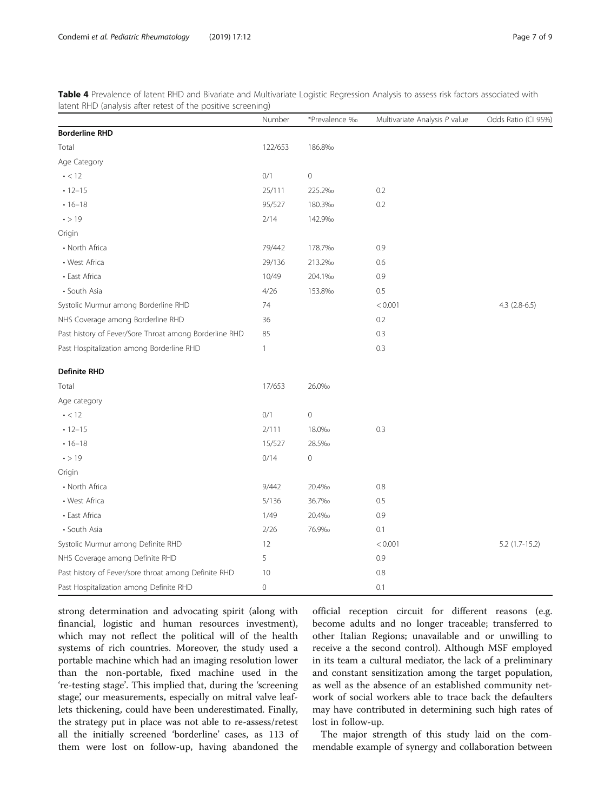<span id="page-6-0"></span>Table 4 Prevalence of latent RHD and Bivariate and Multivariate Logistic Regression Analysis to assess risk factors associated with latent RHD (analysis after retest of the positive screening)

|                                                        | Number       | *Prevalence ‰ | Multivariate Analysis P value | Odds Ratio (CI 95%) |
|--------------------------------------------------------|--------------|---------------|-------------------------------|---------------------|
| <b>Borderline RHD</b>                                  |              |               |                               |                     |
| Total                                                  | 122/653      | 186.8%        |                               |                     |
| Age Category                                           |              |               |                               |                     |
| $\cdot$ < 12                                           | 0/1          | $\mathbf 0$   |                               |                     |
| $-12-15$                                               | 25/111       | 225.2%        | 0.2                           |                     |
| $• 16 - 18$                                            | 95/527       | 180.3%        | 0.2                           |                     |
| $\cdot$ > 19                                           | 2/14         | 142.9%        |                               |                     |
| Origin                                                 |              |               |                               |                     |
| • North Africa                                         | 79/442       | 178.7%        | 0.9                           |                     |
| • West Africa                                          | 29/136       | 213.2%        | 0.6                           |                     |
| • East Africa                                          | 10/49        | 204.1%        | 0.9                           |                     |
| • South Asia                                           | 4/26         | 153.8%        | 0.5                           |                     |
| Systolic Murmur among Borderline RHD                   | 74           |               | < 0.001                       | $4.3$ $(2.8-6.5)$   |
| NHS Coverage among Borderline RHD                      | 36           |               | 0.2                           |                     |
| Past history of Fever/Sore Throat among Borderline RHD | 85           |               | 0.3                           |                     |
| Past Hospitalization among Borderline RHD              | $\mathbf{1}$ |               | 0.3                           |                     |
| <b>Definite RHD</b>                                    |              |               |                               |                     |
| Total                                                  | 17/653       | 26.0%         |                               |                     |
| Age category                                           |              |               |                               |                     |
| $\cdot$ < 12                                           | 0/1          | $\mathbf 0$   |                               |                     |
| $-12-15$                                               | 2/111        | 18.0%         | 0.3                           |                     |
| $• 16 - 18$                                            | 15/527       | 28.5%         |                               |                     |
| $\cdot$ > 19                                           | 0/14         | $\mathbf 0$   |                               |                     |
| Origin                                                 |              |               |                               |                     |
| • North Africa                                         | 9/442        | 20.4%         | 0.8                           |                     |
| • West Africa                                          | 5/136        | 36.7%         | 0.5                           |                     |
| • East Africa                                          | 1/49         | 20.4%         | 0.9                           |                     |
| • South Asia                                           | 2/26         | 76.9%         | 0.1                           |                     |
| Systolic Murmur among Definite RHD                     | 12           |               | < 0.001                       | 5.2 (1.7-15.2)      |
| NHS Coverage among Definite RHD                        | 5            |               | 0.9                           |                     |
| Past history of Fever/sore throat among Definite RHD   | 10           |               | $0.8\,$                       |                     |
| Past Hospitalization among Definite RHD                | 0            |               | 0.1                           |                     |

strong determination and advocating spirit (along with financial, logistic and human resources investment), which may not reflect the political will of the health systems of rich countries. Moreover, the study used a portable machine which had an imaging resolution lower than the non-portable, fixed machine used in the 're-testing stage'. This implied that, during the 'screening stage', our measurements, especially on mitral valve leaflets thickening, could have been underestimated. Finally, the strategy put in place was not able to re-assess/retest all the initially screened 'borderline' cases, as 113 of them were lost on follow-up, having abandoned the

official reception circuit for different reasons (e.g. become adults and no longer traceable; transferred to other Italian Regions; unavailable and or unwilling to receive a the second control). Although MSF employed in its team a cultural mediator, the lack of a preliminary and constant sensitization among the target population, as well as the absence of an established community network of social workers able to trace back the defaulters may have contributed in determining such high rates of lost in follow-up.

The major strength of this study laid on the commendable example of synergy and collaboration between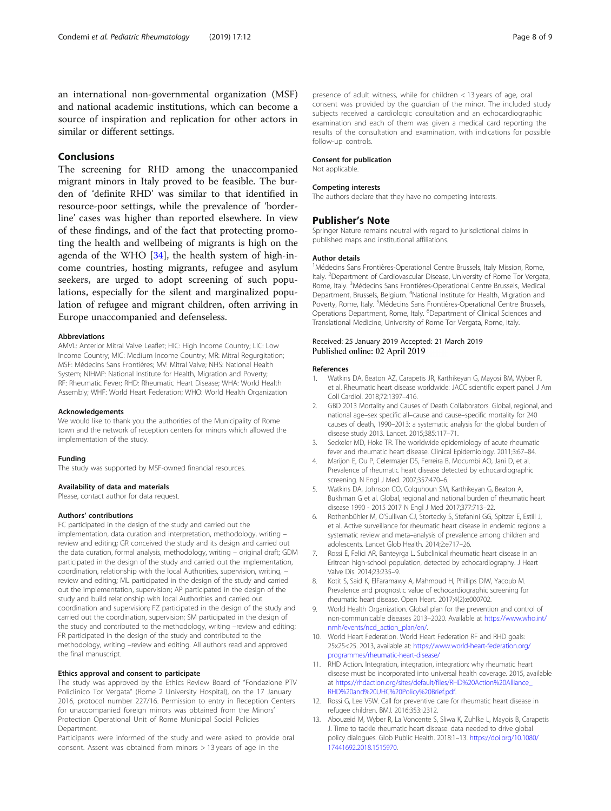<span id="page-7-0"></span>an international non-governmental organization (MSF) and national academic institutions, which can become a source of inspiration and replication for other actors in similar or different settings.

## Conclusions

The screening for RHD among the unaccompanied migrant minors in Italy proved to be feasible. The burden of 'definite RHD' was similar to that identified in resource-poor settings, while the prevalence of 'borderline' cases was higher than reported elsewhere. In view of these findings, and of the fact that protecting promoting the health and wellbeing of migrants is high on the agenda of the WHO [[34](#page-8-0)], the health system of high-income countries, hosting migrants, refugee and asylum seekers, are urged to adopt screening of such populations, especially for the silent and marginalized population of refugee and migrant children, often arriving in Europe unaccompanied and defenseless.

#### Abbreviations

AMVL: Anterior Mitral Valve Leaflet; HIC: High Income Country; LIC: Low Income Country; MIC: Medium Income Country; MR: Mitral Regurgitation; MSF: Médecins Sans Frontières; MV: Mitral Valve; NHS: National Health System; NIHMP: National Institute for Health, Migration and Poverty; RF: Rheumatic Fever; RHD: Rheumatic Heart Disease; WHA: World Health Assembly; WHF: World Heart Federation; WHO: World Health Organization

#### Acknowledgements

We would like to thank you the authorities of the Municipality of Rome town and the network of reception centers for minors which allowed the implementation of the study.

#### Funding

The study was supported by MSF-owned financial resources.

## Availability of data and materials

Please, contact author for data request.

#### Authors' contributions

FC participated in the design of the study and carried out the implementation, data curation and interpretation, methodology, writing – review and editing; GR conceived the study and its design and carried out the data curation, formal analysis, methodology, writing – original draft; GDM participated in the design of the study and carried out the implementation, coordination, relationship with the local Authorities, supervision, writing, − review and editing; ML participated in the design of the study and carried out the implementation, supervision; AP participated in the design of the study and build relationship with local Authorities and carried out coordination and supervision; FZ participated in the design of the study and carried out the coordination, supervision; SM participated in the design of the study and contributed to the methodology, writing –review and editing; FR participated in the design of the study and contributed to the methodology, writing –review and editing. All authors read and approved the final manuscript.

#### Ethics approval and consent to participate

The study was approved by the Ethics Review Board of "Fondazione PTV Policlinico Tor Vergata" (Rome 2 University Hospital), on the 17 January 2016, protocol number 227/16. Permission to entry in Reception Centers for unaccompanied foreign minors was obtained from the Minors' Protection Operational Unit of Rome Municipal Social Policies Department.

Participants were informed of the study and were asked to provide oral consent. Assent was obtained from minors > 13 years of age in the

presence of adult witness, while for children < 13 years of age, oral consent was provided by the guardian of the minor. The included study subjects received a cardiologic consultation and an echocardiographic examination and each of them was given a medical card reporting the results of the consultation and examination, with indications for possible follow-up controls.

#### Consent for publication

Not applicable.

## Competing interests

The authors declare that they have no competing interests.

#### Publisher's Note

Springer Nature remains neutral with regard to jurisdictional claims in published maps and institutional affiliations.

#### Author details

<sup>1</sup> Médecins Sans Frontières-Operational Centre Brussels, Italy Mission, Rome Italy. <sup>2</sup>Department of Cardiovascular Disease, University of Rome Tor Vergata, Rome, Italy. <sup>3</sup>Médecins Sans Frontières-Operational Centre Brussels, Medical Department, Brussels, Belgium. <sup>4</sup>National Institute for Health, Migration and Poverty, Rome, Italy. <sup>5</sup>Médecins Sans Frontières-Operational Centre Brussels, Operations Department, Rome, Italy. <sup>6</sup>Department of Clinical Sciences and Translational Medicine, University of Rome Tor Vergata, Rome, Italy.

## Received: 25 January 2019 Accepted: 21 March 2019 Published online: 02 April 2019

#### References

- Watkins DA, Beaton AZ, Carapetis JR, Karthikeyan G, Mayosi BM, Wyber R, et al. Rheumatic heart disease worldwide: JACC scientific expert panel. J Am Coll Cardiol. 2018;72:1397–416.
- 2. GBD 2013 Mortality and Causes of Death Collaborators. Global, regional, and national age–sex specific all–cause and cause–specific mortality for 240 causes of death, 1990–2013: a systematic analysis for the global burden of disease study 2013. Lancet. 2015;385:117–71.
- 3. Seckeler MD, Hoke TR. The worldwide epidemiology of acute rheumatic fever and rheumatic heart disease. Clinical Epidemiology. 2011;3:67–84.
- 4. Marijon E, Ou P, Celermajer DS, Ferreira B, Mocumbi AO, Jani D, et al. Prevalence of rheumatic heart disease detected by echocardiographic screening. N Engl J Med. 2007;357:470–6.
- 5. Watkins DA, Johnson CO, Colquhoun SM, Karthikeyan G, Beaton A, Bukhman G et al. Global, regional and national burden of rheumatic heart disease 1990 - 2015 2017 N Engl J Med 2017;377:713–22.
- 6. Rothenbühler M, O'Sullivan CJ, Stortecky S, Stefanini GG, Spitzer E, Estill J, et al. Active surveillance for rheumatic heart disease in endemic regions: a systematic review and meta–analysis of prevalence among children and adolescents. Lancet Glob Health. 2014;2:e717–26.
- 7. Rossi E, Felici AR, Banteyrga L. Subclinical rheumatic heart disease in an Eritrean high-school population, detected by echocardiography. J Heart Valve Dis. 2014;23:235–9.
- Kotit S, Said K, ElFaramawy A, Mahmoud H, Phillips DIW, Yacoub M. Prevalence and prognostic value of echocardiographic screening for rheumatic heart disease. Open Heart. 2017;4(2):e000702.
- 9. World Health Organization. Global plan for the prevention and control of non-communicable diseases 2013–2020. Available at [https://www.who.int/](https://www.who.int/nmh/events/ncd_action_plan/en/) [nmh/events/ncd\\_action\\_plan/en/](https://www.who.int/nmh/events/ncd_action_plan/en/).
- 10. World Heart Federation. World Heart Federation RF and RHD goals: 25x25<25. 2013, available at: [https://www.world-heart-federation.org/](https://www.world-heart-federation.org/programmes/rheumatic-heart-disease/) [programmes/rheumatic-heart-disease/](https://www.world-heart-federation.org/programmes/rheumatic-heart-disease/)
- 11. RHD Action. Integration, integration, integration: why rheumatic heart disease must be incorporated into universal health coverage. 2015, available at [https://rhdaction.org/sites/default/files/RHD%20Action%20Alliance\\_](https://rhdaction.org/sites/default/files/RHD%20Action%20Alliance_RHD%20and%20UHC%20Policy%20Brief.pdf) [RHD%20and%20UHC%20Policy%20Brief.pdf.](https://rhdaction.org/sites/default/files/RHD%20Action%20Alliance_RHD%20and%20UHC%20Policy%20Brief.pdf)
- 12. Rossi G, Lee VSW. Call for preventive care for rheumatic heart disease in refugee children. BMJ. 2016;353:i2312.
- 13. Abouzeid M, Wyber R, La Voncente S, Sliwa K, Zuhlke L, Mayois B, Carapetis J. Time to tackle rheumatic heart disease: data needed to drive global policy dialogues. Glob Public Health. 2018:1–13. [https://doi.org/10.1080/](https://doi.org/10.1080/17441692.2018.1515970) [17441692.2018.1515970.](https://doi.org/10.1080/17441692.2018.1515970)